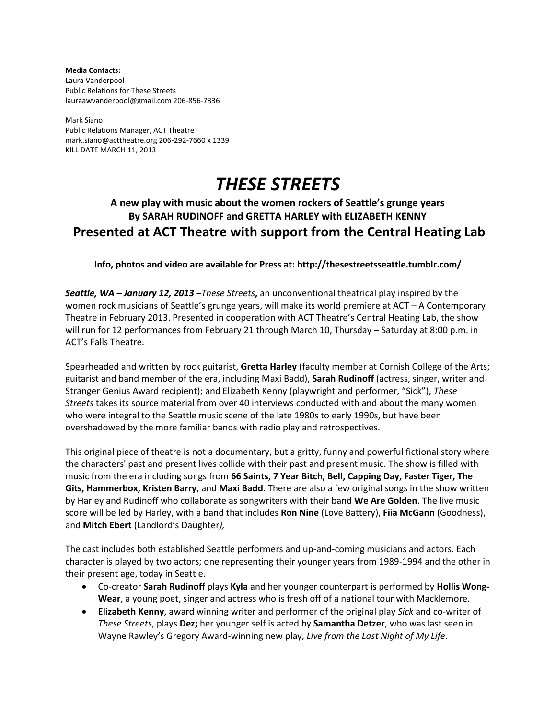**Media Contacts:** Laura Vanderpool Public Relations for These Streets lauraawvanderpool@gmail.com 206-856-7336

Mark Siano Public Relations Manager, ACT Theatre mark.siano@acttheatre.org 206-292-7660 x 1339 KILL DATE MARCH 11, 2013

# *THESE STREETS*

## **A new play with music about the women rockers of Seattle's grunge years By SARAH RUDINOFF and GRETTA HARLEY with ELIZABETH KENNY Presented at ACT Theatre with support from the Central Heating Lab**

### **Info, photos and video are available for Press at: http://thesestreetsseattle.tumblr.com/**

*Seattle, WA – January 12, 2013* **–***These Streets***,** an unconventional theatrical play inspired by the women rock musicians of Seattle's grunge years, will make its world premiere at ACT – A Contemporary Theatre in February 2013. Presented in cooperation with ACT Theatre's Central Heating Lab, the show will run for 12 performances from February 21 through March 10, Thursday – Saturday at 8:00 p.m. in ACT's Falls Theatre.

Spearheaded and written by rock guitarist, **Gretta Harley** (faculty member at Cornish College of the Arts; guitarist and band member of the era, including Maxi Badd), **Sarah Rudinoff** (actress, singer, writer and Stranger Genius Award recipient); and Elizabeth Kenny (playwright and performer, "Sick"), *These Streets* takes its source material from over 40 interviews conducted with and about the many women who were integral to the Seattle music scene of the late 1980s to early 1990s, but have been overshadowed by the more familiar bands with radio play and retrospectives.

This original piece of theatre is not a documentary, but a gritty, funny and powerful fictional story where the characters' past and present lives collide with their past and present music. The show is filled with music from the era including songs from **66 Saints, 7 Year Bitch, Bell, Capping Day, Faster Tiger, The Gits, Hammerbox, Kristen Barry**, and **Maxi Badd**. There are also a few original songs in the show written by Harley and Rudinoff who collaborate as songwriters with their band **We Are Golden**. The live music score will be led by Harley, with a band that includes **Ron Nine** (Love Battery), **Fiia McGann** (Goodness), and **Mitch Ebert** (Landlord's Daughter*),* 

The cast includes both established Seattle performers and up-and-coming musicians and actors. Each character is played by two actors; one representing their younger years from 1989-1994 and the other in their present age, today in Seattle.

- Co-creator **Sarah Rudinoff** plays **Kyla** and her younger counterpart is performed by **Hollis Wong-Wear**, a young poet, singer and actress who is fresh off of a national tour with Macklemore.
- **Elizabeth Kenny**, award winning writer and performer of the original play *Sick* and co-writer of *These Streets*, plays **Dez;** her younger self is acted by **Samantha Detzer**, who was last seen in Wayne Rawley's Gregory Award-winning new play, *Live from the Last Night of My Life*.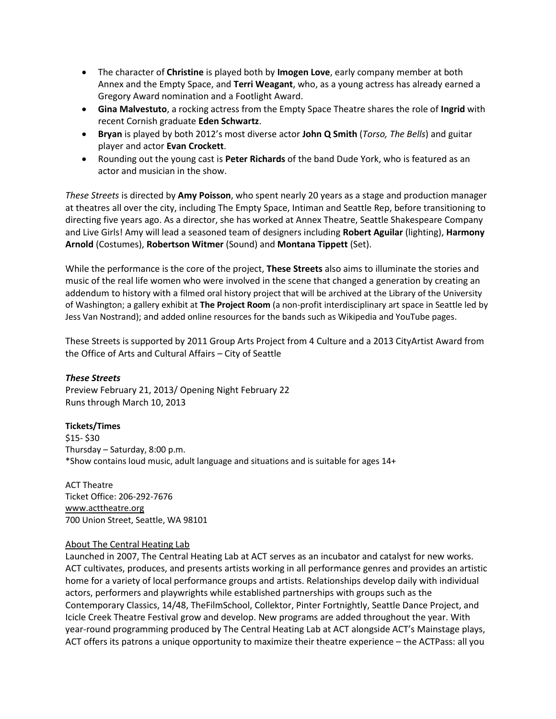- The character of **Christine** is played both by **Imogen Love**, early company member at both Annex and the Empty Space, and **Terri Weagant**, who, as a young actress has already earned a Gregory Award nomination and a Footlight Award.
- **Gina Malvestuto**, a rocking actress from the Empty Space Theatre shares the role of **Ingrid** with recent Cornish graduate **Eden Schwartz**.
- **Bryan** is played by both 2012's most diverse actor **John Q Smith** (*Torso, The Bells*) and guitar player and actor **Evan Crockett**.
- Rounding out the young cast is **Peter Richards** of the band Dude York, who is featured as an actor and musician in the show.

*These Streets* is directed by **Amy Poisson**, who spent nearly 20 years as a stage and production manager at theatres all over the city, including The Empty Space, Intiman and Seattle Rep, before transitioning to directing five years ago. As a director, she has worked at Annex Theatre, Seattle Shakespeare Company and Live Girls! Amy will lead a seasoned team of designers including **Robert Aguilar** (lighting), **Harmony Arnold** (Costumes), **Robertson Witmer** (Sound) and **Montana Tippett** (Set).

While the performance is the core of the project, **These Streets** also aims to illuminate the stories and music of the real life women who were involved in the scene that changed a generation by creating an addendum to history with a filmed oral history project that will be archived at the Library of the University of Washington; a gallery exhibit at **[The Project Room](http://projectroomseattle.org/)** (a non-profit interdisciplinary art space in Seattle led by Jess Van Nostrand); and added online resources for the bands such as Wikipedia and YouTube pages.

These Streets is supported by 2011 Group Arts Project from 4 Culture and a 2013 CityArtist Award from the Office of Arts and Cultural Affairs – City of Seattle

#### *These Streets*

Preview February 21, 2013/ Opening Night February 22 Runs through March 10, 2013

#### **Tickets/Times**

\$15- \$30 Thursday – Saturday, 8:00 p.m. \*Show contains loud music, adult language and situations and is suitable for ages 14+

ACT Theatre Ticket Office: 206-292-7676 [www.acttheatre.org](http://www.acttheatre.org/)  700 Union Street, Seattle, WA 98101

#### About The Central Heating Lab

Launched in 2007, The Central Heating Lab at ACT serves as an incubator and catalyst for new works. ACT cultivates, produces, and presents artists working in all performance genres and provides an artistic home for a variety of local performance groups and artists. Relationships develop daily with individual actors, performers and playwrights while established partnerships with groups such as the Contemporary Classics, 14/48, TheFilmSchool, Collektor, Pinter Fortnightly, Seattle Dance Project, and Icicle Creek Theatre Festival grow and develop. New programs are added throughout the year. With year-round programming produced by The Central Heating Lab at ACT alongside ACT's Mainstage plays, ACT offers its patrons a unique opportunity to maximize their theatre experience – the ACTPass: all you